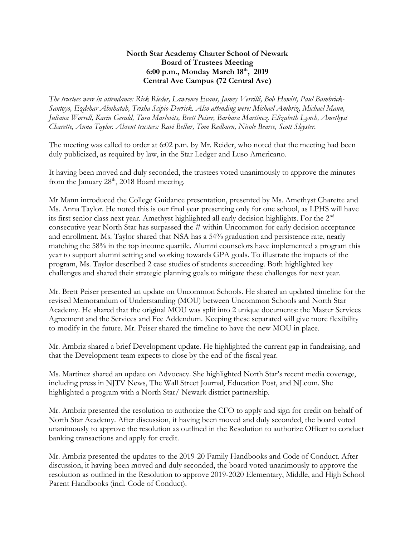## **North Star Academy Charter School of Newark Board of Trustees Meeting 6:00 p.m., Monday March 18 th , 2019 Central Ave Campus (72 Central Ave)**

*The trustees were in attendance: Rick Rieder, Lawrence Evans, Jamey Verrilli, Bob Howitt, Paul Bambrick-Santoyo, Ezdehar Abuhatab, Trisha Scipio-Derrick. Also attending were: Michael Ambriz, Michael Mann, Juliana Worrell, Karin Gerald, Tara Marlovits, Brett Peiser, Barbara Martinez, Elizabeth Lynch, Amethyst Charette, Anna Taylor. Absent trustees: Ravi Bellur, Tom Redburn, Nicole Bearce, Scott Sleyster.*

The meeting was called to order at 6:02 p.m. by Mr. Reider, who noted that the meeting had been duly publicized, as required by law, in the Star Ledger and Luso Americano.

It having been moved and duly seconded, the trustees voted unanimously to approve the minutes from the January  $28<sup>th</sup>$ , 2018 Board meeting.

Mr Mann introduced the College Guidance presentation, presented by Ms. Amethyst Charette and Ms. Anna Taylor. He noted this is our final year presenting only for one school, as LPHS will have its first senior class next year. Amethyst highlighted all early decision highlights. For the 2nd consecutive year North Star has surpassed the # within Uncommon for early decision acceptance and enrollment. Ms. Taylor shared that NSA has a 54% graduation and persistence rate, nearly matching the 58% in the top income quartile. Alumni counselors have implemented a program this year to support alumni setting and working towards GPA goals. To illustrate the impacts of the program, Ms. Taylor described 2 case studies of students succeeding. Both highlighted key challenges and shared their strategic planning goals to mitigate these challenges for next year.

Mr. Brett Peiser presented an update on Uncommon Schools. He shared an updated timeline for the revised Memorandum of Understanding (MOU) between Uncommon Schools and North Star Academy. He shared that the original MOU was split into 2 unique documents: the Master Services Agreement and the Services and Fee Addendum. Keeping these separated will give more flexibility to modify in the future. Mr. Peiser shared the timeline to have the new MOU in place.

Mr. Ambriz shared a brief Development update. He highlighted the current gap in fundraising, and that the Development team expects to close by the end of the fiscal year.

Ms. Martinez shared an update on Advocacy. She highlighted North Star's recent media coverage, including press in NJTV News, The Wall Street Journal, Education Post, and NJ.com. She highlighted a program with a North Star/ Newark district partnership.

Mr. Ambriz presented the resolution to authorize the CFO to apply and sign for credit on behalf of North Star Academy. After discussion, it having been moved and duly seconded, the board voted unanimously to approve the resolution as outlined in the Resolution to authorize Officer to conduct banking transactions and apply for credit.

Mr. Ambriz presented the updates to the 2019-20 Family Handbooks and Code of Conduct. After discussion, it having been moved and duly seconded, the board voted unanimously to approve the resolution as outlined in the Resolution to approve 2019-2020 Elementary, Middle, and High School Parent Handbooks (incl. Code of Conduct).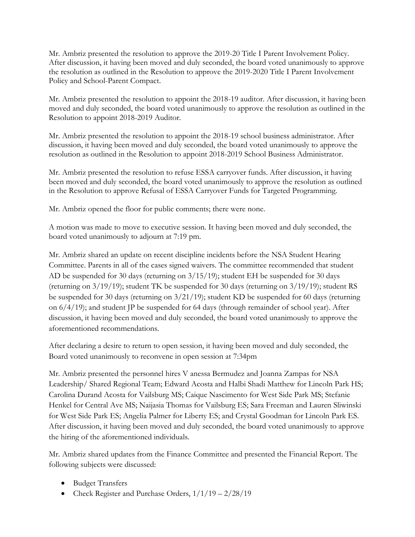Mr. Ambriz presented the resolution to approve the 2019-20 Title I Parent Involvement Policy. After discussion, it having been moved and duly seconded, the board voted unanimously to approve the resolution as outlined in the Resolution to approve the 2019-2020 Title I Parent Involvement Policy and School-Parent Compact.

Mr. Ambriz presented the resolution to appoint the 2018-19 auditor. After discussion, it having been moved and duly seconded, the board voted unanimously to approve the resolution as outlined in the Resolution to appoint 2018-2019 Auditor.

Mr. Ambriz presented the resolution to appoint the 2018-19 school business administrator. After discussion, it having been moved and duly seconded, the board voted unanimously to approve the resolution as outlined in the Resolution to appoint 2018-2019 School Business Administrator.

Mr. Ambriz presented the resolution to refuse ESSA carryover funds. After discussion, it having been moved and duly seconded, the board voted unanimously to approve the resolution as outlined in the Resolution to approve Refusal of ESSA Carryover Funds for Targeted Programming.

Mr. Ambriz opened the floor for public comments; there were none.

A motion was made to move to executive session. It having been moved and duly seconded, the board voted unanimously to adjourn at 7:19 pm.

Mr. Ambriz shared an update on recent discipline incidents before the NSA Student Hearing Committee. Parents in all of the cases signed waivers. The committee recommended that student AD be suspended for 30 days (returning on 3/15/19); student EH be suspended for 30 days (returning on 3/19/19); student TK be suspended for 30 days (returning on 3/19/19); student RS be suspended for 30 days (returning on 3/21/19); student KD be suspended for 60 days (returning on 6/4/19); and student JP be suspended for 64 days (through remainder of school year). After discussion, it having been moved and duly seconded, the board voted unanimously to approve the aforementioned recommendations.

After declaring a desire to return to open session, it having been moved and duly seconded, the Board voted unanimously to reconvene in open session at 7:34pm

Mr. Ambriz presented the personnel hires V anessa Bermudez and Joanna Zampas for NSA Leadership/ Shared Regional Team; Edward Acosta and Halbi Shadi Matthew for Lincoln Park HS; Carolina Durand Acosta for Vailsburg MS; Caique Nascimento for West Side Park MS; Stefanie Henkel for Central Ave MS; Naijasia Thomas for Vailsburg ES; Sara Freeman and Lauren Sliwinski for West Side Park ES; Angelia Palmer for Liberty ES; and Crystal Goodman for Lincoln Park ES. After discussion, it having been moved and duly seconded, the board voted unanimously to approve the hiring of the aforementioned individuals.

Mr. Ambriz shared updates from the Finance Committee and presented the Financial Report. The following subjects were discussed:

- Budget Transfers
- Check Register and Purchase Orders,  $1/1/19 2/28/19$